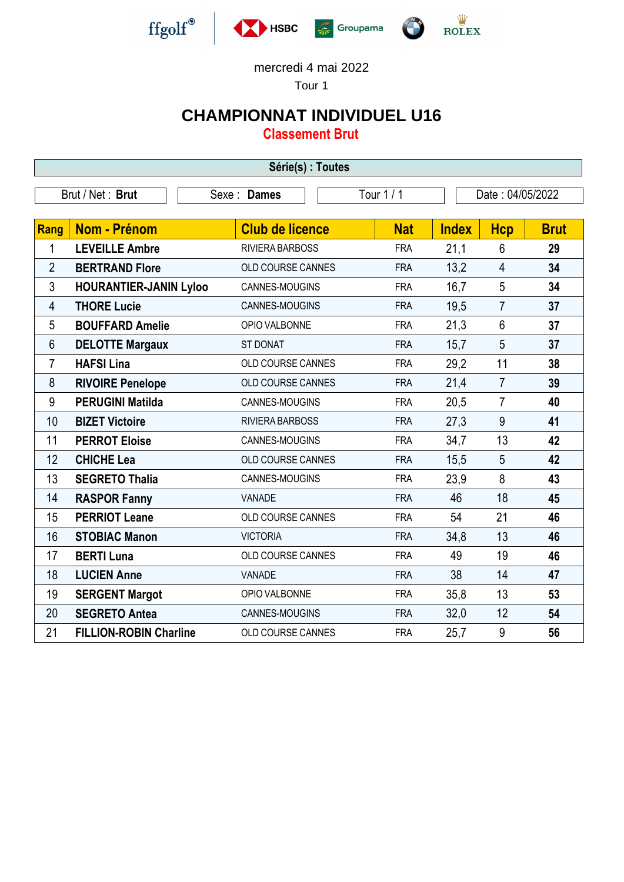

Tour 1

## **CHAMPIONNAT INDIVIDUEL U16**

**Classement Brut**

| Série(s) : Toutes                                                  |                               |                          |            |              |                |             |  |
|--------------------------------------------------------------------|-------------------------------|--------------------------|------------|--------------|----------------|-------------|--|
| Tour 1 / 1<br>Brut / Net: Brut<br>Date: 04/05/2022<br>Sexe : Dames |                               |                          |            |              |                |             |  |
| Rang                                                               | <b>Nom - Prénom</b>           | <b>Club de licence</b>   | <b>Nat</b> | <b>Index</b> | <b>Hcp</b>     | <b>Brut</b> |  |
| 1                                                                  | <b>LEVEILLE Ambre</b>         | RIVIERA BARBOSS          | <b>FRA</b> | 21,1         | 6              | 29          |  |
| $\overline{2}$                                                     | <b>BERTRAND Flore</b>         | <b>OLD COURSE CANNES</b> | <b>FRA</b> | 13,2         | $\overline{4}$ | 34          |  |
| 3                                                                  | <b>HOURANTIER-JANIN Lyloo</b> | CANNES-MOUGINS           | <b>FRA</b> | 16,7         | 5              | 34          |  |
| $\overline{4}$                                                     | <b>THORE Lucie</b>            | CANNES-MOUGINS           | <b>FRA</b> | 19,5         | $\overline{7}$ | 37          |  |
| 5                                                                  | <b>BOUFFARD Amelie</b>        | OPIO VALBONNE            | <b>FRA</b> | 21,3         | $6\phantom{1}$ | 37          |  |
| $6\,$                                                              | <b>DELOTTE Margaux</b>        | <b>ST DONAT</b>          | <b>FRA</b> | 15,7         | 5              | 37          |  |
| $\overline{7}$                                                     | <b>HAFSI Lina</b>             | OLD COURSE CANNES        | <b>FRA</b> | 29,2         | 11             | 38          |  |
| 8                                                                  | <b>RIVOIRE Penelope</b>       | OLD COURSE CANNES        | <b>FRA</b> | 21,4         | $\overline{7}$ | 39          |  |
| 9                                                                  | <b>PERUGINI Matilda</b>       | CANNES-MOUGINS           | <b>FRA</b> | 20,5         | $\overline{7}$ | 40          |  |
| 10                                                                 | <b>BIZET Victoire</b>         | RIVIERA BARBOSS          | <b>FRA</b> | 27,3         | 9              | 41          |  |
| 11                                                                 | <b>PERROT Eloise</b>          | CANNES-MOUGINS           | <b>FRA</b> | 34,7         | 13             | 42          |  |
| 12                                                                 | <b>CHICHE Lea</b>             | OLD COURSE CANNES        | <b>FRA</b> | 15,5         | 5              | 42          |  |
| 13                                                                 | <b>SEGRETO Thalia</b>         | CANNES-MOUGINS           | <b>FRA</b> | 23,9         | 8              | 43          |  |
| 14                                                                 | <b>RASPOR Fanny</b>           | <b>VANADE</b>            | <b>FRA</b> | 46           | 18             | 45          |  |
| 15                                                                 | <b>PERRIOT Leane</b>          | OLD COURSE CANNES        | <b>FRA</b> | 54           | 21             | 46          |  |
| 16                                                                 | <b>STOBIAC Manon</b>          | <b>VICTORIA</b>          | <b>FRA</b> | 34,8         | 13             | 46          |  |
| 17                                                                 | <b>BERTI Luna</b>             | OLD COURSE CANNES        | <b>FRA</b> | 49           | 19             | 46          |  |
| 18                                                                 | <b>LUCIEN Anne</b>            | <b>VANADE</b>            | <b>FRA</b> | 38           | 14             | 47          |  |
| 19                                                                 | <b>SERGENT Margot</b>         | OPIO VALBONNE            | <b>FRA</b> | 35,8         | 13             | 53          |  |
| 20                                                                 | <b>SEGRETO Antea</b>          | CANNES-MOUGINS           | <b>FRA</b> | 32,0         | 12             | 54          |  |
| 21                                                                 | <b>FILLION-ROBIN Charline</b> | OLD COURSE CANNES        | <b>FRA</b> | 25,7         | 9              | 56          |  |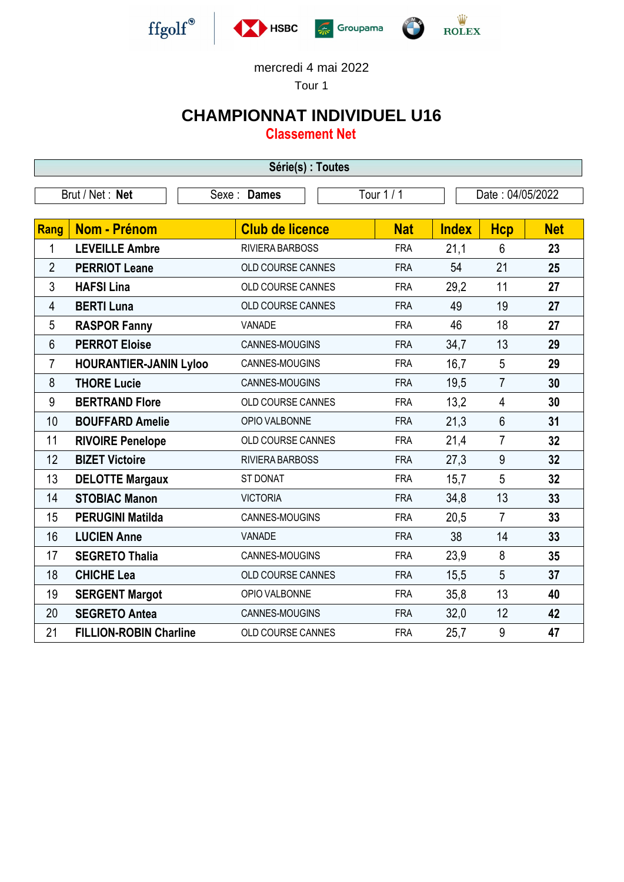

Tour 1

## **CHAMPIONNAT INDIVIDUEL U16**

**Classement Net**

| Série(s) : Toutes |                                                                   |                        |            |              |                |            |  |
|-------------------|-------------------------------------------------------------------|------------------------|------------|--------------|----------------|------------|--|
|                   | Tour 1 / 1<br>Date: 04/05/2022<br>Brut / Net: Net<br>Sexe : Dames |                        |            |              |                |            |  |
|                   | <b>Nom - Prénom</b>                                               | <b>Club de licence</b> | <b>Nat</b> |              |                | <b>Net</b> |  |
| Rang              |                                                                   |                        |            | <b>Index</b> | <b>Hcp</b>     |            |  |
| 1                 | <b>LEVEILLE Ambre</b>                                             | RIVIERA BARBOSS        | <b>FRA</b> | 21,1         | 6              | 23         |  |
| $\overline{2}$    | <b>PERRIOT Leane</b>                                              | OLD COURSE CANNES      | <b>FRA</b> | 54           | 21             | 25         |  |
| 3                 | <b>HAFSI Lina</b>                                                 | OLD COURSE CANNES      | <b>FRA</b> | 29,2         | 11             | 27         |  |
| 4                 | <b>BERTI Luna</b>                                                 | OLD COURSE CANNES      | <b>FRA</b> | 49           | 19             | 27         |  |
| 5                 | <b>RASPOR Fanny</b>                                               | VANADE                 | <b>FRA</b> | 46           | 18             | 27         |  |
| 6                 | <b>PERROT Eloise</b>                                              | CANNES-MOUGINS         | <b>FRA</b> | 34,7         | 13             | 29         |  |
| 7                 | <b>HOURANTIER-JANIN Lyloo</b>                                     | CANNES-MOUGINS         | <b>FRA</b> | 16,7         | 5              | 29         |  |
| 8                 | <b>THORE Lucie</b>                                                | CANNES-MOUGINS         | <b>FRA</b> | 19,5         | $\overline{7}$ | 30         |  |
| 9                 | <b>BERTRAND Flore</b>                                             | OLD COURSE CANNES      | <b>FRA</b> | 13,2         | 4              | 30         |  |
| 10                | <b>BOUFFARD Amelie</b>                                            | OPIO VALBONNE          | <b>FRA</b> | 21,3         | 6              | 31         |  |
| 11                | <b>RIVOIRE Penelope</b>                                           | OLD COURSE CANNES      | <b>FRA</b> | 21,4         | $\overline{7}$ | 32         |  |
| 12                | <b>BIZET Victoire</b>                                             | RIVIERA BARBOSS        | <b>FRA</b> | 27,3         | 9              | 32         |  |
| 13                | <b>DELOTTE Margaux</b>                                            | ST DONAT               | <b>FRA</b> | 15,7         | 5              | 32         |  |
| 14                | <b>STOBIAC Manon</b>                                              | <b>VICTORIA</b>        | <b>FRA</b> | 34,8         | 13             | 33         |  |
| 15                | <b>PERUGINI Matilda</b>                                           | CANNES-MOUGINS         | <b>FRA</b> | 20,5         | $\overline{7}$ | 33         |  |
| 16                | <b>LUCIEN Anne</b>                                                | <b>VANADE</b>          | <b>FRA</b> | 38           | 14             | 33         |  |
| 17                | <b>SEGRETO Thalia</b>                                             | CANNES-MOUGINS         | <b>FRA</b> | 23,9         | 8              | 35         |  |
| 18                | <b>CHICHE Lea</b>                                                 | OLD COURSE CANNES      | <b>FRA</b> | 15,5         | 5              | 37         |  |
| 19                | <b>SERGENT Margot</b>                                             | OPIO VALBONNE          | <b>FRA</b> | 35,8         | 13             | 40         |  |
| 20                | <b>SEGRETO Antea</b>                                              | CANNES-MOUGINS         | <b>FRA</b> | 32,0         | 12             | 42         |  |
| 21                | <b>FILLION-ROBIN Charline</b>                                     | OLD COURSE CANNES      | <b>FRA</b> | 25,7         | 9              | 47         |  |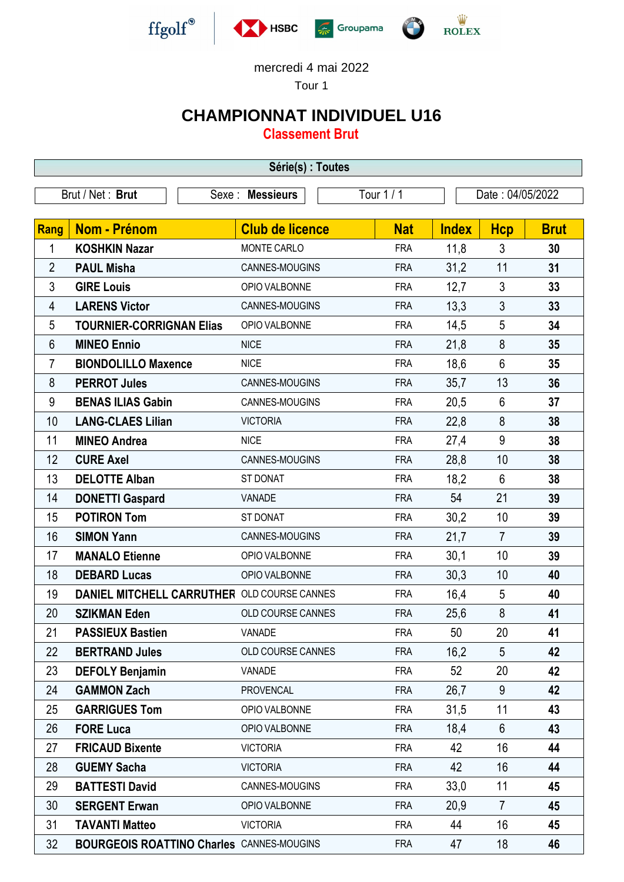

Tour 1

## **CHAMPIONNAT INDIVIDUEL U16**

**Classement Brut**

| Série(s) : Toutes                                                      |                                                  |                          |            |              |                |             |  |
|------------------------------------------------------------------------|--------------------------------------------------|--------------------------|------------|--------------|----------------|-------------|--|
| Tour 1 / 1<br>Brut / Net: Brut<br>Sexe : Messieurs<br>Date: 04/05/2022 |                                                  |                          |            |              |                |             |  |
|                                                                        |                                                  |                          |            |              |                |             |  |
| <b>Rang</b>                                                            | Nom - Prénom                                     | <b>Club de licence</b>   | <b>Nat</b> | <b>Index</b> | <b>Hcp</b>     | <b>Brut</b> |  |
| 1                                                                      | <b>KOSHKIN Nazar</b>                             | MONTE CARLO              | <b>FRA</b> | 11,8         | 3              | 30          |  |
| $\overline{2}$                                                         | <b>PAUL Misha</b>                                | CANNES-MOUGINS           | <b>FRA</b> | 31,2         | 11             | 31          |  |
| $\mathfrak{Z}$                                                         | <b>GIRE Louis</b>                                | OPIO VALBONNE            | <b>FRA</b> | 12,7         | 3              | 33          |  |
| 4                                                                      | <b>LARENS Victor</b>                             | CANNES-MOUGINS           | <b>FRA</b> | 13,3         | $\overline{3}$ | 33          |  |
| 5                                                                      | <b>TOURNIER-CORRIGNAN Elias</b>                  | OPIO VALBONNE            | <b>FRA</b> | 14,5         | 5              | 34          |  |
| $6\phantom{1}$                                                         | <b>MINEO Ennio</b>                               | <b>NICE</b>              | <b>FRA</b> | 21,8         | 8              | 35          |  |
| $\overline{7}$                                                         | <b>BIONDOLILLO Maxence</b>                       | <b>NICE</b>              | <b>FRA</b> | 18,6         | $6\phantom{1}$ | 35          |  |
| 8                                                                      | <b>PERROT Jules</b>                              | CANNES-MOUGINS           | <b>FRA</b> | 35,7         | 13             | 36          |  |
| 9                                                                      | <b>BENAS ILIAS Gabin</b>                         | CANNES-MOUGINS           | <b>FRA</b> | 20,5         | 6              | 37          |  |
| 10                                                                     | <b>LANG-CLAES Lilian</b>                         | <b>VICTORIA</b>          | <b>FRA</b> | 22,8         | 8              | 38          |  |
| 11                                                                     | <b>MINEO Andrea</b>                              | <b>NICE</b>              | <b>FRA</b> | 27,4         | 9              | 38          |  |
| 12                                                                     | <b>CURE Axel</b>                                 | CANNES-MOUGINS           | <b>FRA</b> | 28,8         | 10             | 38          |  |
| 13                                                                     | <b>DELOTTE Alban</b>                             | <b>ST DONAT</b>          | <b>FRA</b> | 18,2         | 6              | 38          |  |
| 14                                                                     | <b>DONETTI Gaspard</b>                           | VANADE                   | <b>FRA</b> | 54           | 21             | 39          |  |
| 15                                                                     | <b>POTIRON Tom</b>                               | ST DONAT                 | <b>FRA</b> | 30,2         | 10             | 39          |  |
| 16                                                                     | <b>SIMON Yann</b>                                | CANNES-MOUGINS           | <b>FRA</b> | 21,7         | $\overline{7}$ | 39          |  |
| 17                                                                     | <b>MANALO Etienne</b>                            | OPIO VALBONNE            | <b>FRA</b> | 30,1         | 10             | 39          |  |
| 18                                                                     | <b>DEBARD Lucas</b>                              | OPIO VALBONNE            | <b>FRA</b> | 30,3         | 10             | 40          |  |
| 19                                                                     | DANIEL MITCHELL CARRUTHER OLD COURSE CANNES      |                          | <b>FRA</b> | 16,4         | 5              | 40          |  |
| 20                                                                     | <b>SZIKMAN Eden</b>                              | <b>OLD COURSE CANNES</b> | <b>FRA</b> | 25,6         | 8              | 41          |  |
| 21                                                                     | <b>PASSIEUX Bastien</b>                          | VANADE                   | <b>FRA</b> | 50           | 20             | 41          |  |
| 22                                                                     | <b>BERTRAND Jules</b>                            | OLD COURSE CANNES        | <b>FRA</b> | 16,2         | 5              | 42          |  |
| 23                                                                     | <b>DEFOLY Benjamin</b>                           | VANADE                   | <b>FRA</b> | 52           | 20             | 42          |  |
| 24                                                                     | <b>GAMMON Zach</b>                               | <b>PROVENCAL</b>         | <b>FRA</b> | 26,7         | 9              | 42          |  |
| 25                                                                     | <b>GARRIGUES Tom</b>                             | OPIO VALBONNE            | <b>FRA</b> | 31,5         | 11             | 43          |  |
| 26                                                                     | <b>FORE Luca</b>                                 | OPIO VALBONNE            | <b>FRA</b> | 18,4         | 6              | 43          |  |
| 27                                                                     | <b>FRICAUD Bixente</b>                           | <b>VICTORIA</b>          | <b>FRA</b> | 42           | 16             | 44          |  |
| 28                                                                     | <b>GUEMY Sacha</b>                               | <b>VICTORIA</b>          | <b>FRA</b> | 42           | 16             | 44          |  |
| 29                                                                     | <b>BATTESTI David</b>                            | CANNES-MOUGINS           | <b>FRA</b> | 33,0         | 11             | 45          |  |
| 30                                                                     | <b>SERGENT Erwan</b>                             | OPIO VALBONNE            | <b>FRA</b> | 20,9         | $\overline{7}$ | 45          |  |
| 31                                                                     | <b>TAVANTI Matteo</b>                            | <b>VICTORIA</b>          | <b>FRA</b> | 44           | 16             | 45          |  |
| 32                                                                     | <b>BOURGEOIS ROATTINO Charles CANNES-MOUGINS</b> |                          | <b>FRA</b> | 47           | 18             | 46          |  |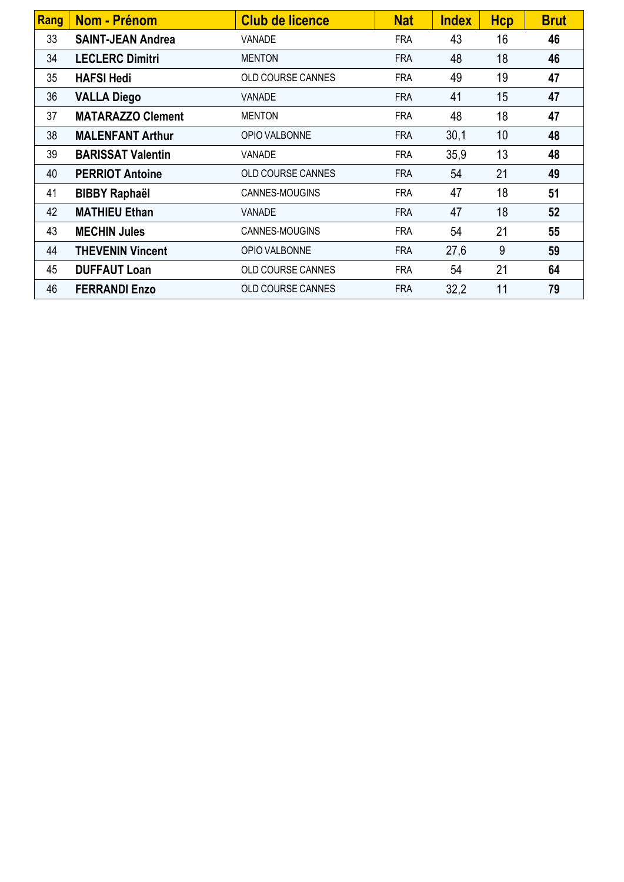| Rang | <b>Nom - Prénom</b>      | <b>Club de licence</b>   | <b>Nat</b> | <b>Index</b> | <b>Hcp</b> | <b>Brut</b> |
|------|--------------------------|--------------------------|------------|--------------|------------|-------------|
| 33   | <b>SAINT-JEAN Andrea</b> | VANADE                   | <b>FRA</b> | 43           | 16         | 46          |
| 34   | <b>LECLERC Dimitri</b>   | <b>MENTON</b>            | <b>FRA</b> | 48           | 18         | 46          |
| 35   | <b>HAFSI Hedi</b>        | <b>OLD COURSE CANNES</b> | <b>FRA</b> | 49           | 19         | 47          |
| 36   | <b>VALLA Diego</b>       | <b>VANADE</b>            | <b>FRA</b> | 41           | 15         | 47          |
| 37   | <b>MATARAZZO Clement</b> | <b>MENTON</b>            | <b>FRA</b> | 48           | 18         | 47          |
| 38   | <b>MALENFANT Arthur</b>  | OPIO VALBONNE            | <b>FRA</b> | 30,1         | 10         | 48          |
| 39   | <b>BARISSAT Valentin</b> | <b>VANADE</b>            | <b>FRA</b> | 35,9         | 13         | 48          |
| 40   | <b>PERRIOT Antoine</b>   | OLD COURSE CANNES        | <b>FRA</b> | 54           | 21         | 49          |
| 41   | <b>BIBBY Raphaël</b>     | CANNES-MOUGINS           | <b>FRA</b> | 47           | 18         | 51          |
| 42   | <b>MATHIEU Ethan</b>     | <b>VANADE</b>            | <b>FRA</b> | 47           | 18         | 52          |
| 43   | <b>MECHIN Jules</b>      | CANNES-MOUGINS           | <b>FRA</b> | 54           | 21         | 55          |
| 44   | <b>THEVENIN Vincent</b>  | OPIO VALBONNE            | <b>FRA</b> | 27,6         | 9          | 59          |
| 45   | <b>DUFFAUT Loan</b>      | OLD COURSE CANNES        | <b>FRA</b> | 54           | 21         | 64          |
| 46   | <b>FERRANDI Enzo</b>     | OLD COURSE CANNES        | <b>FRA</b> | 32,2         | 11         | 79          |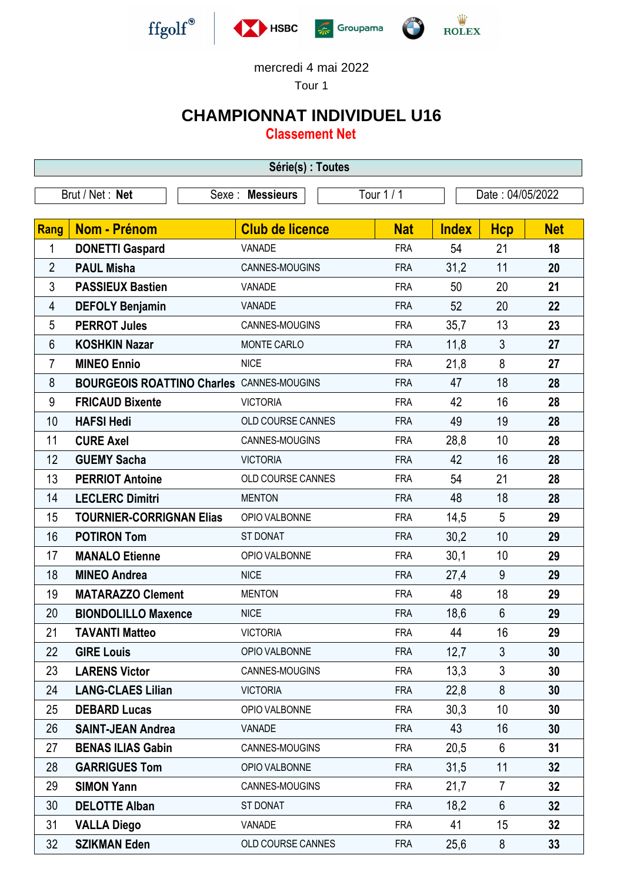

Tour 1

## **CHAMPIONNAT INDIVIDUEL U16**

**Classement Net**

| Série(s) : Toutes                                                     |                                                  |                        |            |              |                |            |  |
|-----------------------------------------------------------------------|--------------------------------------------------|------------------------|------------|--------------|----------------|------------|--|
| Tour 1 / 1<br>Brut / Net: Net<br>Sexe : Messieurs<br>Date: 04/05/2022 |                                                  |                        |            |              |                |            |  |
|                                                                       |                                                  |                        |            |              |                |            |  |
| <b>Rang</b>                                                           | <b>Nom - Prénom</b>                              | <b>Club de licence</b> | <b>Nat</b> | <b>Index</b> | <b>Hcp</b>     | <b>Net</b> |  |
| 1                                                                     | <b>DONETTI Gaspard</b>                           | <b>VANADE</b>          | <b>FRA</b> | 54           | 21             | 18         |  |
| $\overline{2}$                                                        | <b>PAUL Misha</b>                                | CANNES-MOUGINS         | <b>FRA</b> | 31,2         | 11             | 20         |  |
| 3                                                                     | <b>PASSIEUX Bastien</b>                          | VANADE                 | <b>FRA</b> | 50           | 20             | 21         |  |
| 4                                                                     | <b>DEFOLY Benjamin</b>                           | VANADE                 | <b>FRA</b> | 52           | 20             | 22         |  |
| 5                                                                     | <b>PERROT Jules</b>                              | CANNES-MOUGINS         | <b>FRA</b> | 35,7         | 13             | 23         |  |
| $6\phantom{1}$                                                        | <b>KOSHKIN Nazar</b>                             | MONTE CARLO            | <b>FRA</b> | 11,8         | 3              | 27         |  |
| $\overline{7}$                                                        | <b>MINEO Ennio</b>                               | <b>NICE</b>            | <b>FRA</b> | 21,8         | 8              | 27         |  |
| 8                                                                     | <b>BOURGEOIS ROATTINO Charles CANNES-MOUGINS</b> |                        | <b>FRA</b> | 47           | 18             | 28         |  |
| 9                                                                     | <b>FRICAUD Bixente</b>                           | <b>VICTORIA</b>        | <b>FRA</b> | 42           | 16             | 28         |  |
| 10                                                                    | <b>HAFSI Hedi</b>                                | OLD COURSE CANNES      | <b>FRA</b> | 49           | 19             | 28         |  |
| 11                                                                    | <b>CURE Axel</b>                                 | CANNES-MOUGINS         | <b>FRA</b> | 28,8         | 10             | 28         |  |
| 12                                                                    | <b>GUEMY Sacha</b>                               | <b>VICTORIA</b>        | <b>FRA</b> | 42           | 16             | 28         |  |
| 13                                                                    | <b>PERRIOT Antoine</b>                           | OLD COURSE CANNES      | <b>FRA</b> | 54           | 21             | 28         |  |
| 14                                                                    | <b>LECLERC Dimitri</b>                           | <b>MENTON</b>          | <b>FRA</b> | 48           | 18             | 28         |  |
| 15                                                                    | <b>TOURNIER-CORRIGNAN Elias</b>                  | OPIO VALBONNE          | <b>FRA</b> | 14,5         | 5              | 29         |  |
| 16                                                                    | <b>POTIRON Tom</b>                               | <b>ST DONAT</b>        | <b>FRA</b> | 30,2         | 10             | 29         |  |
| 17                                                                    | <b>MANALO Etienne</b>                            | OPIO VALBONNE          | <b>FRA</b> | 30,1         | 10             | 29         |  |
| 18                                                                    | <b>MINEO Andrea</b>                              | <b>NICE</b>            | <b>FRA</b> | 27,4         | 9              | 29         |  |
| 19                                                                    | <b>MATARAZZO Clement</b>                         | <b>MENTON</b>          | <b>FRA</b> | 48           | 18             | 29         |  |
| 20                                                                    | <b>BIONDOLILLO Maxence</b>                       | <b>NICE</b>            | <b>FRA</b> | 18,6         | 6              | 29         |  |
| 21                                                                    | <b>TAVANTI Matteo</b>                            | <b>VICTORIA</b>        | <b>FRA</b> | 44           | 16             | 29         |  |
| 22                                                                    | <b>GIRE Louis</b>                                | OPIO VALBONNE          | <b>FRA</b> | 12,7         | 3              | 30         |  |
| 23                                                                    | <b>LARENS Victor</b>                             | CANNES-MOUGINS         | <b>FRA</b> | 13,3         | 3              | 30         |  |
| 24                                                                    | <b>LANG-CLAES Lilian</b>                         | <b>VICTORIA</b>        | <b>FRA</b> | 22,8         | 8              | 30         |  |
| 25                                                                    | <b>DEBARD Lucas</b>                              | OPIO VALBONNE          | <b>FRA</b> | 30,3         | 10             | 30         |  |
| 26                                                                    | <b>SAINT-JEAN Andrea</b>                         | VANADE                 | <b>FRA</b> | 43           | 16             | 30         |  |
| 27                                                                    | <b>BENAS ILIAS Gabin</b>                         | CANNES-MOUGINS         | <b>FRA</b> | 20,5         | 6              | 31         |  |
| 28                                                                    | <b>GARRIGUES Tom</b>                             | OPIO VALBONNE          | <b>FRA</b> | 31,5         | 11             | 32         |  |
| 29                                                                    | <b>SIMON Yann</b>                                | CANNES-MOUGINS         | <b>FRA</b> | 21,7         | $\overline{7}$ | 32         |  |
| 30                                                                    | <b>DELOTTE Alban</b>                             | <b>ST DONAT</b>        | <b>FRA</b> | 18,2         | $6\phantom{1}$ | 32         |  |
| 31                                                                    | <b>VALLA Diego</b>                               | VANADE                 | <b>FRA</b> | 41           | 15             | 32         |  |
| 32                                                                    | <b>SZIKMAN Eden</b>                              | OLD COURSE CANNES      | <b>FRA</b> | 25,6         | 8              | 33         |  |